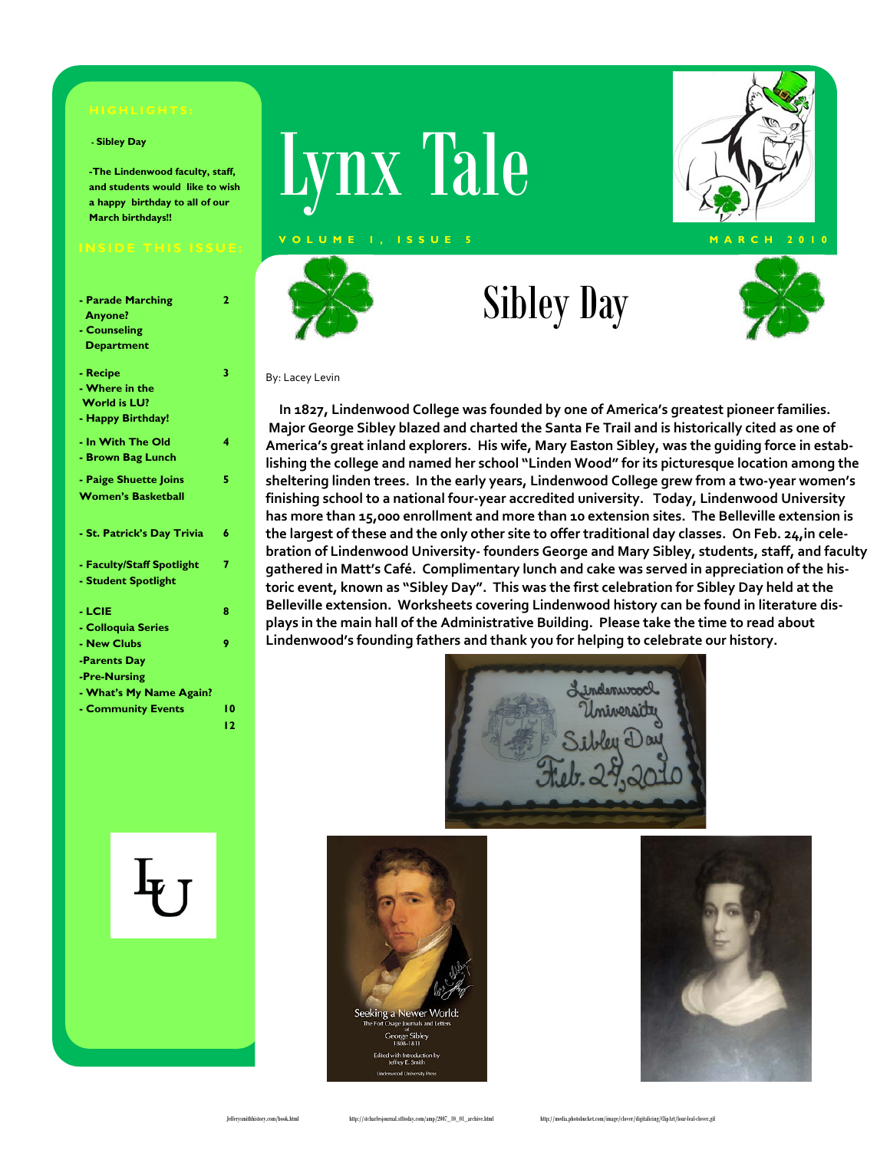#### **- Sibley Day**

**-The Lindenwood faculty, staff, and students would like to wish a happy birthday to all of our March birthdays!!** 

**2** 

**3** 

**4** 

**5** 

**7** 

**8** 

**9** 

**10 12** 

#### **- Parade Marching Anyone?**

- **Counseling**
- **Department**
- **Recipe**
- **Where in the**
- **World is LU?**
- **Happy Birthday!**

|  | - In With The Old |  |  |
|--|-------------------|--|--|
|  |                   |  |  |

**- Brown Bag Lunch** 

|  | - Paige Shuette Joins     |  |
|--|---------------------------|--|
|  | <b>Women's Basketball</b> |  |

- 
- **St. Patrick's Day Trivia 6**
- **Faculty/Staff Spotlight - Student Spotlight**
- **LCIE**
- **Colloquia Series**
- **New Clubs**
- **-Parents Day**
- **-Pre-Nursing**
- **What's My Name Again?**
- **Community Events**





# Sibley Day





#### By: Lacey Levin

 **In 1827, Lindenwood College was founded by one of America's greatest pioneer families. Major George Sibley blazed and charted the Santa Fe Trail and is historically cited as one of America's great inland explorers. His wife, Mary Easton Sibley, was the guiding force in estab‐ lishing the college and named her school "Linden Wood" for its picturesque location among the sheltering linden trees. In the early years, Lindenwood College grew from a two‐year women's finishing school to a national four‐year accredited university. Today, Lindenwood University has more than 15,000 enrollment and more than 10 extension sites. The Belleville extension is** the largest of these and the only other site to offer traditional day classes. On Feb. 24, in cele**bration of Lindenwood University‐ founders George and Mary Sibley, students, staff, and faculty gathered in Matt's Café. Complimentary lunch and cake was served in appreciation of the his‐ toric event, known as "Sibley Day". This was the first celebration for Sibley Day held at the Belleville extension. Worksheets covering Lindenwood history can be found in literature dis‐ plays in the main hall of the Administrative Building. Please take the time to read about Lindenwood's founding fathers and thank you for helping to celebrate our history.**





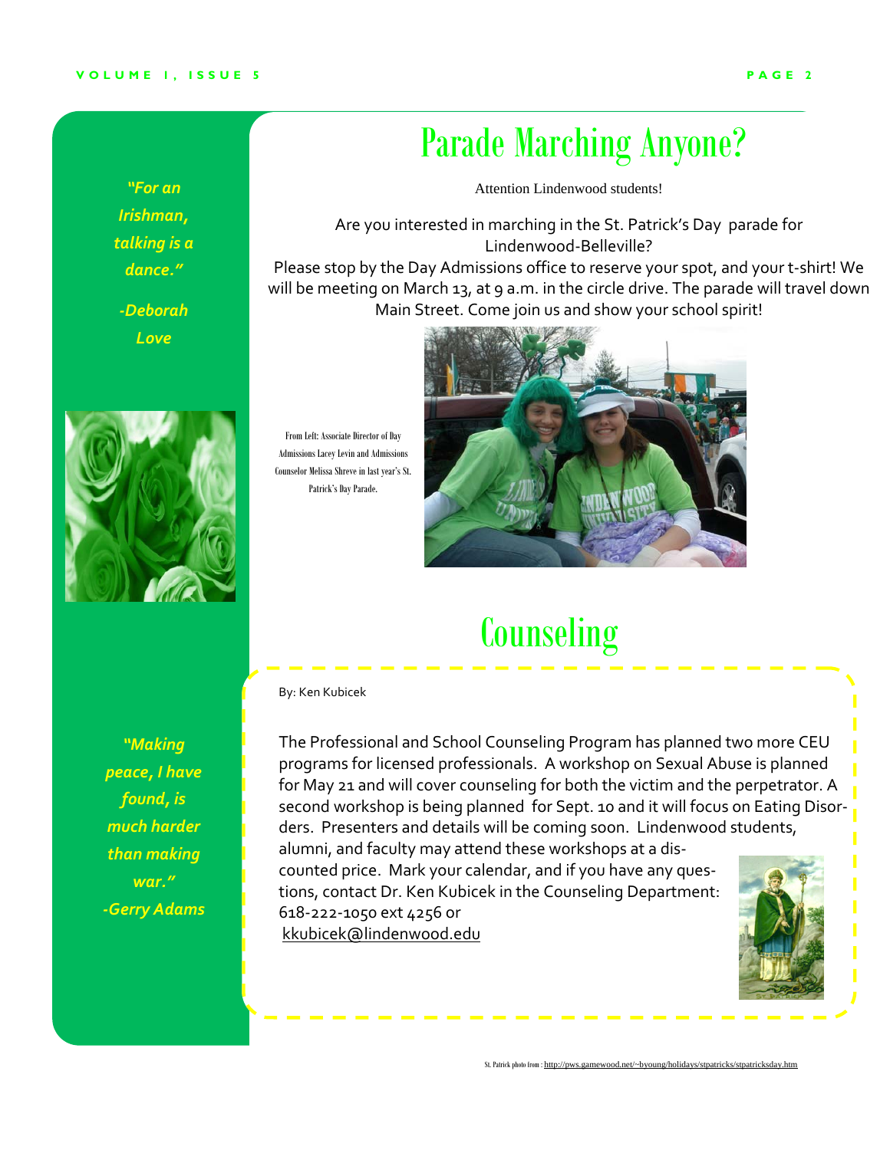#### **VOLUME 1, ISSUE 5**

*"For an Irishman, talking is a dance."*

*‐Deborah Love*



*"Making peace, I have found, is much harder*

*than making war." ‐Gerry Adams*

From Left: Associate Director of Day Admissions Lacey Levin and Admissions Counselor Melissa Shreve in last year's St. Patrick's Day Parade.

### Parade Marching Anyone?

Attention Lindenwood students!

Are you interested in marching in the St. Patrick's Day parade for Lindenwood‐Belleville?

Please stop by the Day Admissions office to reserve your spot, and your t‐shirt! We will be meeting on March 13, at 9 a.m. in the circle drive. The parade will travel down Main Street. Come join us and show your school spirit!



### **Counseling**

By: Ken Kubicek

The Professional and School Counseling Program has planned two more CEU programs for licensed professionals. A workshop on Sexual Abuse is planned for May 21 and will cover counseling for both the victim and the perpetrator. A second workshop is being planned for Sept. 10 and it will focus on Eating Disor‐ ders. Presenters and details will be coming soon. Lindenwood students, alumni, and faculty may attend these workshops at a dis‐

counted price. Mark your calendar, and if you have any ques‐ tions, contact Dr. Ken Kubicek in the Counseling Department: 618‐222‐1050 ext 4256 or kkubicek@lindenwood.edu



St. Patrick photo from : http://pws.gamewood.net/~byoung/holidays/stpatricks/stpatricksday.htm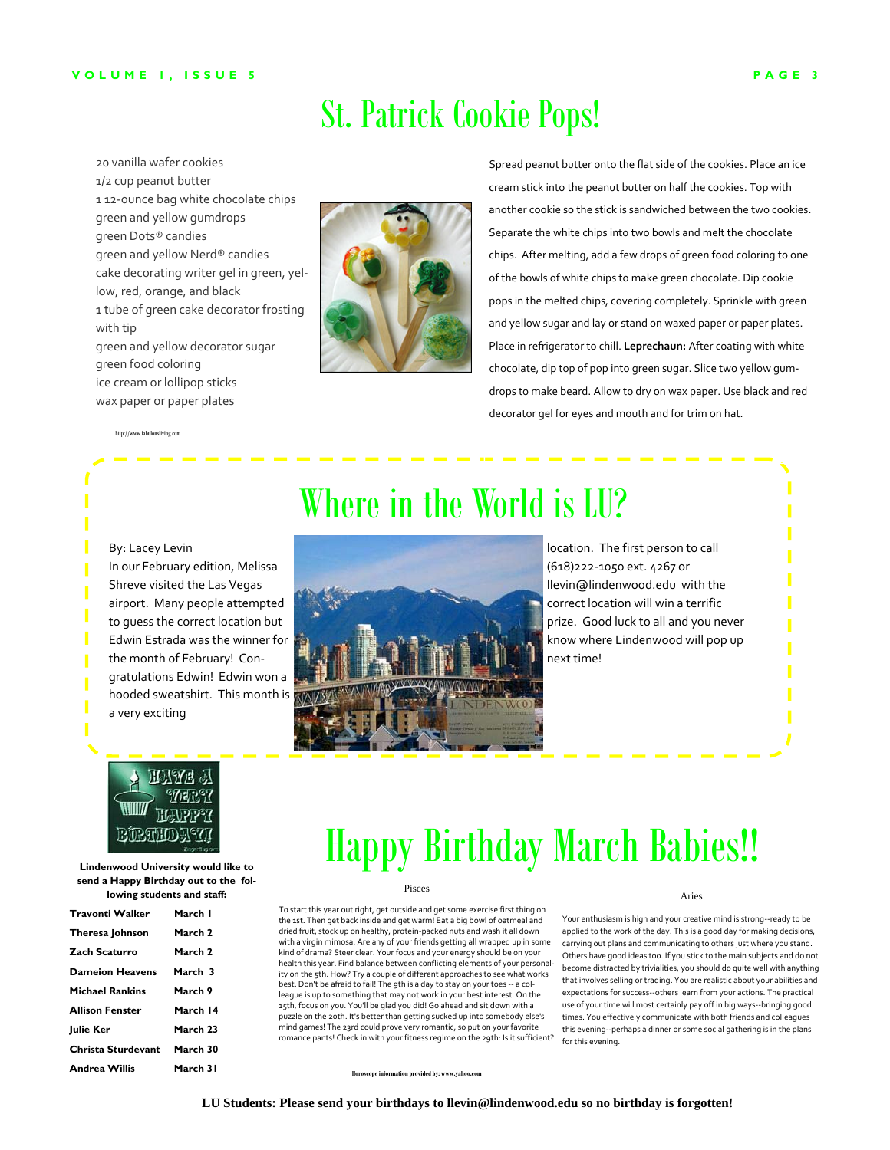### St. Patrick Cookie Pops!

20 vanilla wafer cookies 1/2 cup peanut butter 112-ounce bag white chocolate chips green and yellow gumdrops green Dots® candies green and yellow Nerd® candies cake decorating writer gel in green, yellow, red, orange, and black 1 tube of green cake decorator frosting with tip green and yellow decorator sugar green food coloring ice cream or lollipop sticks wax paper or paper plates



Spread peanut butter onto the flat side of the cookies. Place an ice cream stick into the peanut butter on half the cookies. Top with another cookie so the stick is sandwiched between the two cookies. Separate the white chips into two bowls and melt the chocolate chips. After melting, add a few drops of green food coloring to one of the bowls of white chips to make green chocolate. Dip cookie pops in the melted chips, covering completely. Sprinkle with green and yellow sugar and lay or stand on waxed paper or paper plates. Place in refrigerator to chill. **Leprechaun:** After coating with white chocolate, dip top of pop into green sugar. Slice two yellow gum‐ drops to make beard. Allow to dry on wax paper. Use black and red decorator gel for eyes and mouth and for trim on hat.

http://www.fabulousliving.com

# Where in the World is LU?



location. The first person to call (618)222‐1050 ext. 4267 or llevin@lindenwood.edu with the correct location will win a terrific prize. Good luck to all and you never know where Lindenwood will pop up next time!

### **MAYYE** BIRAHOM

a very exciting

**Lindenwood University would like to send a Happy Birthday out to the following students and staff:** 

| Travonti Walker        | March I            |
|------------------------|--------------------|
| Theresa Johnson        | March 2            |
| Zach Scaturro          | March <sub>2</sub> |
| Dameion Heavens        | March 3            |
| Michael Rankins        | March 9            |
| <b>Allison Fenster</b> | March 14           |
| <b>Iulie Ker</b>       | March 23           |
| Christa Sturdevant     | March 30           |
| <b>Andrea Willis</b>   | March 31           |

# Happy Birthday March Babies!!

#### Pisces

To start this year out right, get outside and get some exercise first thing on the 1st. Then get back inside and get warm! Eat a big bowl of oatmeal and dried fruit, stock up on healthy, protein‐packed nuts and wash it all down with a virgin mimosa. Are any of your friends getting all wrapped up in some kind of drama? Steer clear. Your focus and your energy should be on your health this year. Find balance between conflicting elements of your personality on the 5th. How? Try a couple of different approaches to see what works best. Don't be afraid to fail! The 9th is a day to stay on your toes ‐‐ a col‐ league is up to something that may not work in your best interest. On the 15th, focus on you. You'll be glad you did! Go ahead and sit down with a puzzle on the 20th. It's better than getting sucked up into somebody else's mind games! The 23rd could prove very romantic, so put on your favorite romance pants! Check in with your fitness regime on the 29th: Is it sufficient? Aries

Your enthusiasm is high and your creative mind is strong‐‐ready to be applied to the work of the day. This is a good day for making decisions, carrying out plans and communicating to others just where you stand. Others have good ideas too. If you stick to the main subjects and do not become distracted by trivialities, you should do quite well with anything that involves selling or trading. You are realistic about your abilities and expectations for success‐‐others learn from your actions. The practical use of your time will most certainly pay off in big ways‐‐bringing good times. You effectively communicate with both friends and colleagues this evening‐‐perhaps a dinner or some social gathering is in the plans for this evening.

**Horoscope information provided by: www.yahoo.com**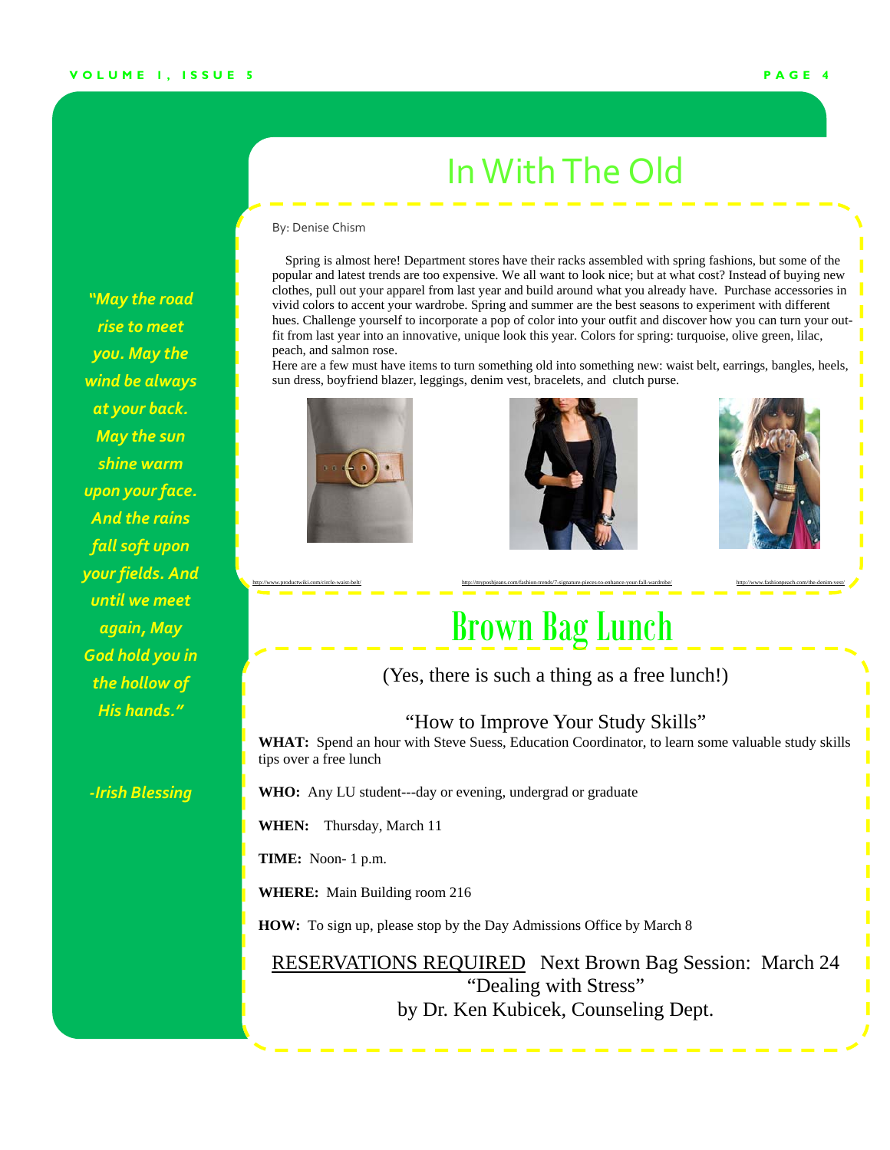### InWithThe Old

#### By: Denise Chism

 Spring is almost here! Department stores have their racks assembled with spring fashions, but some of the popular and latest trends are too expensive. We all want to look nice; but at what cost? Instead of buying new clothes, pull out your apparel from last year and build around what you already have. Purchase accessories in vivid colors to accent your wardrobe. Spring and summer are the best seasons to experiment with different hues. Challenge yourself to incorporate a pop of color into your outfit and discover how you can turn your outfit from last year into an innovative, unique look this year. Colors for spring: turquoise, olive green, lilac, peach, and salmon rose.

Here are a few must have items to turn something old into something new: waist belt, earrings, bangles, heels, sun dress, boyfriend blazer, leggings, denim vest, bracelets, and clutch purse.







### Brown Bag Lunch

http://www.productwiki.com/circle-waist-belt/ http://myposhjeans.com/fashion-trends/7-signature-pieces-to-enhance-your-fall-wardrobe/ http://www.fashionpeach.com/the-denim-vest/

(Yes, there is such a thing as a free lunch!)

### "How to Improve Your Study Skills"

**WHAT:** Spend an hour with Steve Suess, Education Coordinator, to learn some valuable study skills tips over a free lunch

**WHO:** Any LU student---day or evening, undergrad or graduate

**WHEN:** Thursday, March 11

**TIME:** Noon- 1 p.m.

**WHERE:** Main Building room 216

**HOW:** To sign up, please stop by the Day Admissions Office by March 8

RESERVATIONS REQUIRED Next Brown Bag Session: March 24 "Dealing with Stress" by Dr. Ken Kubicek, Counseling Dept.

*"May the road rise to meet you. May the wind be always at your back. May the sun shine warm upon your face. And the rains fall soft upon your fields. And until we meet again, May God hold you in the hollow of His hands."*

*‐Irish Blessing*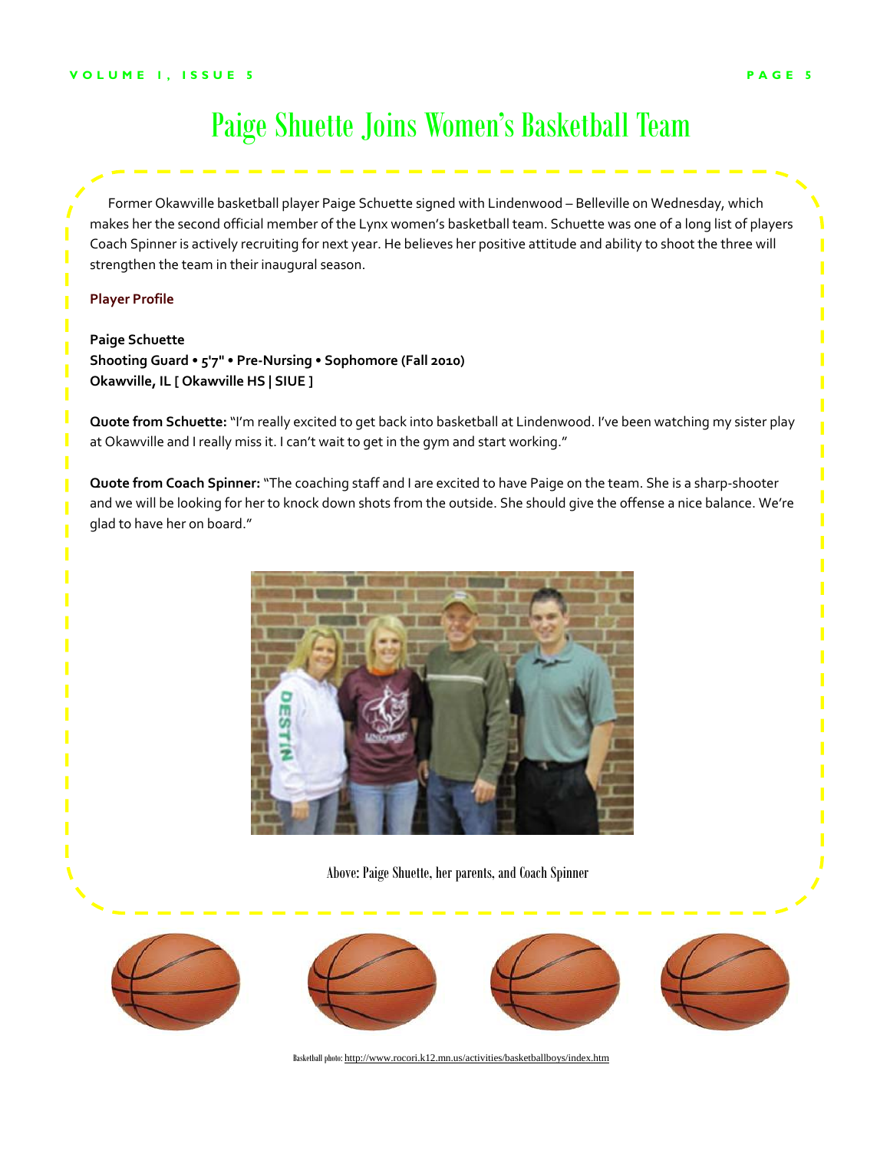### Paige Shuette Joins Women's Basketball Team

 Former Okawville basketball player Paige Schuette signed with Lindenwood – Belleville on Wednesday, which makes her the second official member of the Lynx women's basketball team. Schuette was one of a long list of players Coach Spinner is actively recruiting for next year. He believes her positive attitude and ability to shoot the three will strengthen the team in their inaugural season.

#### **Player Profile**

**Paige Schuette Shooting Guard • 5'7" • Pre‐Nursing • Sophomore (Fall 2010) Okawville, IL [ Okawville HS | SIUE ]**

**Quote from Schuette:** "I'm really excited to get back into basketball at Lindenwood. I've been watching my sister play at Okawville and I really miss it. I can't wait to get in the gym and start working."

**Quote from Coach Spinner:**"The coaching staff and I are excited to have Paige on the team. She is a sharp‐shooter and we will be looking for her to knock down shots from the outside. She should give the offense a nice balance. We're glad to have her on board."



Above: Paige Shuette, her parents, and Coach Spinner









Basketball photo: http://www.rocori.k12.mn.us/activities/basketballboys/index.htm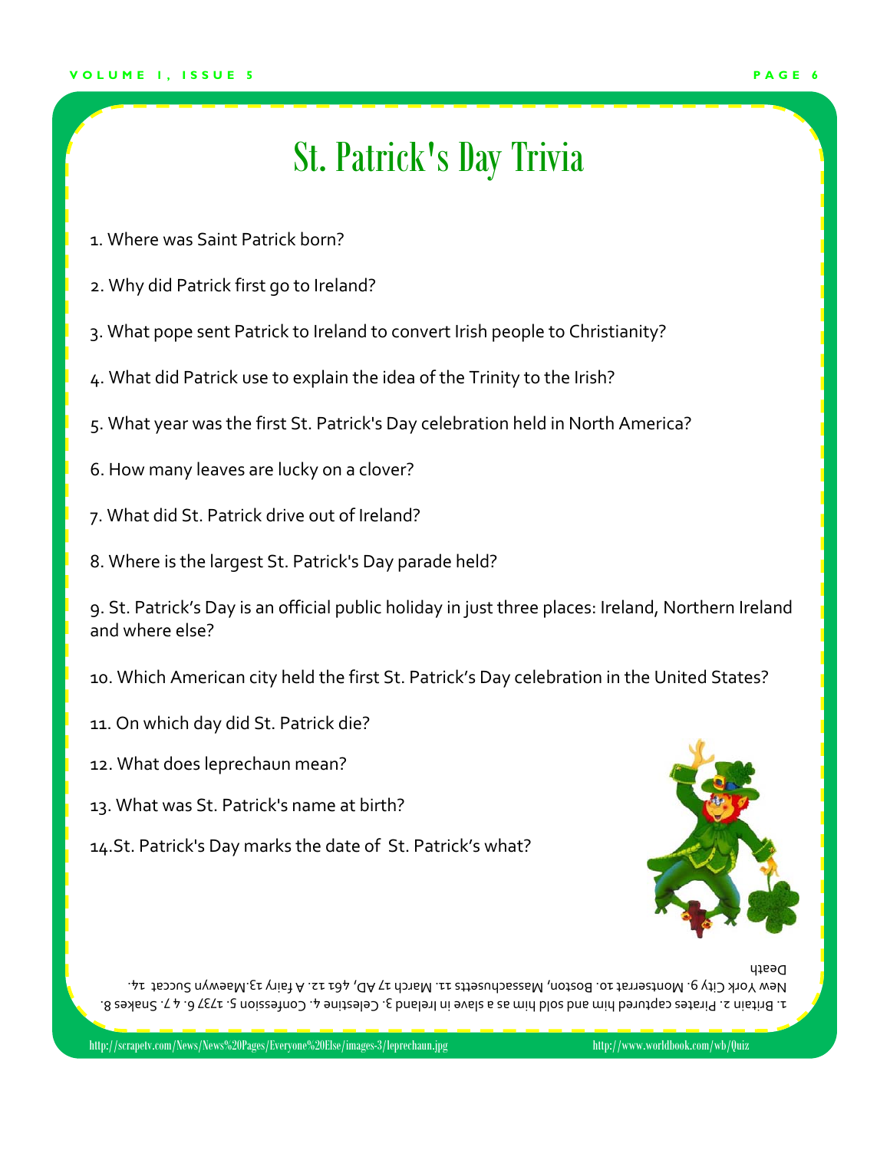### St. Patrick's Day Trivia

- 1. Where was Saint Patrick born?
- 2. Why did Patrick first go to Ireland?
- 3. What pope sent Patrick to Ireland to convert Irish people to Christianity?
- 4. What did Patrick use to explain the idea of the Trinity to the Irish?
- 5. What year was the first St. Patrick's Day celebration held in North America?
- 6. How many leaves are lucky on a clover?
- 7. What did St. Patrick drive out of Ireland?
- 8. Where is the largest St. Patrick's Day parade held?

9. St. Patrick's Day is an official public holiday in just three places: Ireland, Northern Ireland and where else?

- 10. Which American city held the first St. Patrick's Day celebration in the United States?
- 11. On which day did St. Patrick die?
- 12. What does leprechaun mean?
- 13. What was St. Patrick's name at birth?
- 14.St. Patrick's Day marks the date of St. Patrick's what?



1. Britain 2. Pirates captured him and blos bueles are alwe in lreland 3. Celestine 4. Confession 3. T737 6. 4.7. Snakes 8. 14. Succat 13. Succat 13. A 13. And 12. A 13. March 11. March 11. AD, 461 12. A 161 Maewyn Succat 14. Ci Death

http://scrapetv.com/News/News%20Pages/Everyone%20Else/images-3/leprechaun.jpg http://www.worldbook.com/wb/Quiz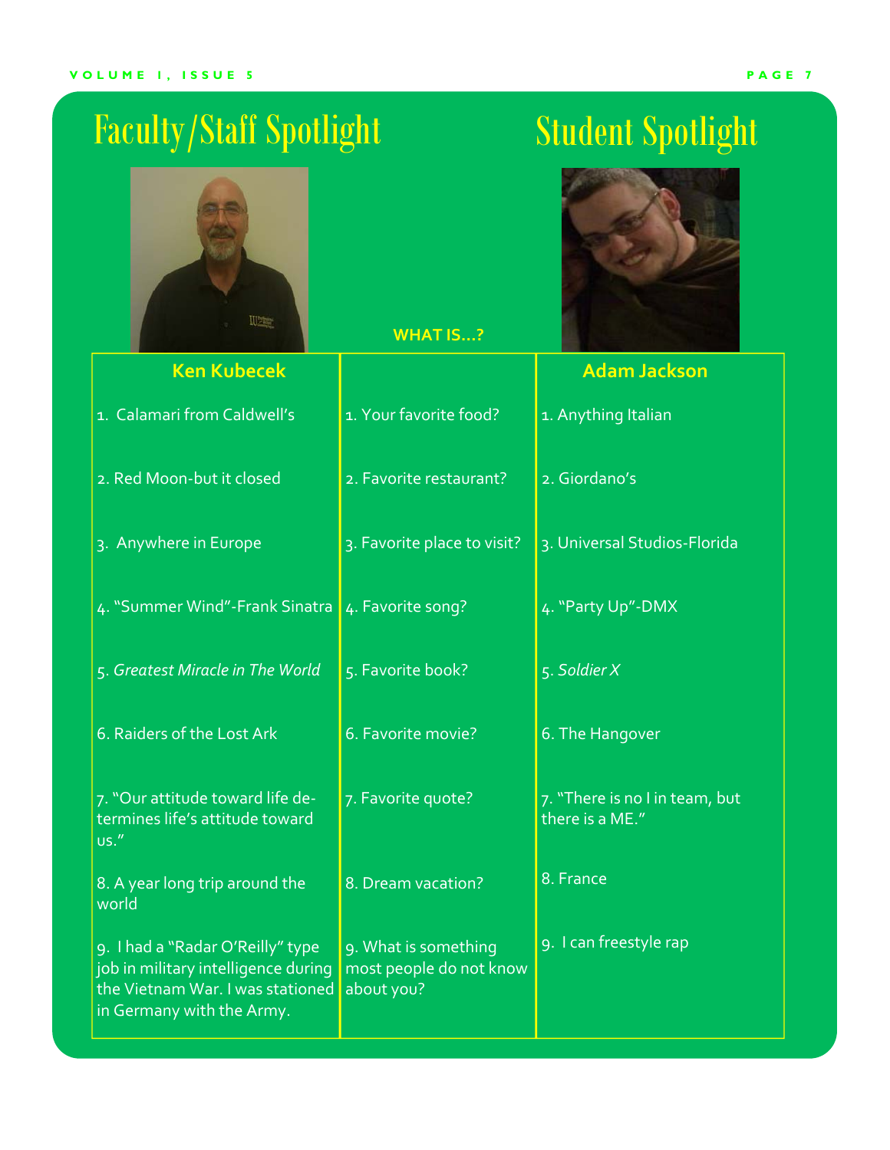# Faculty/Staff Spotlight Student Spotlight

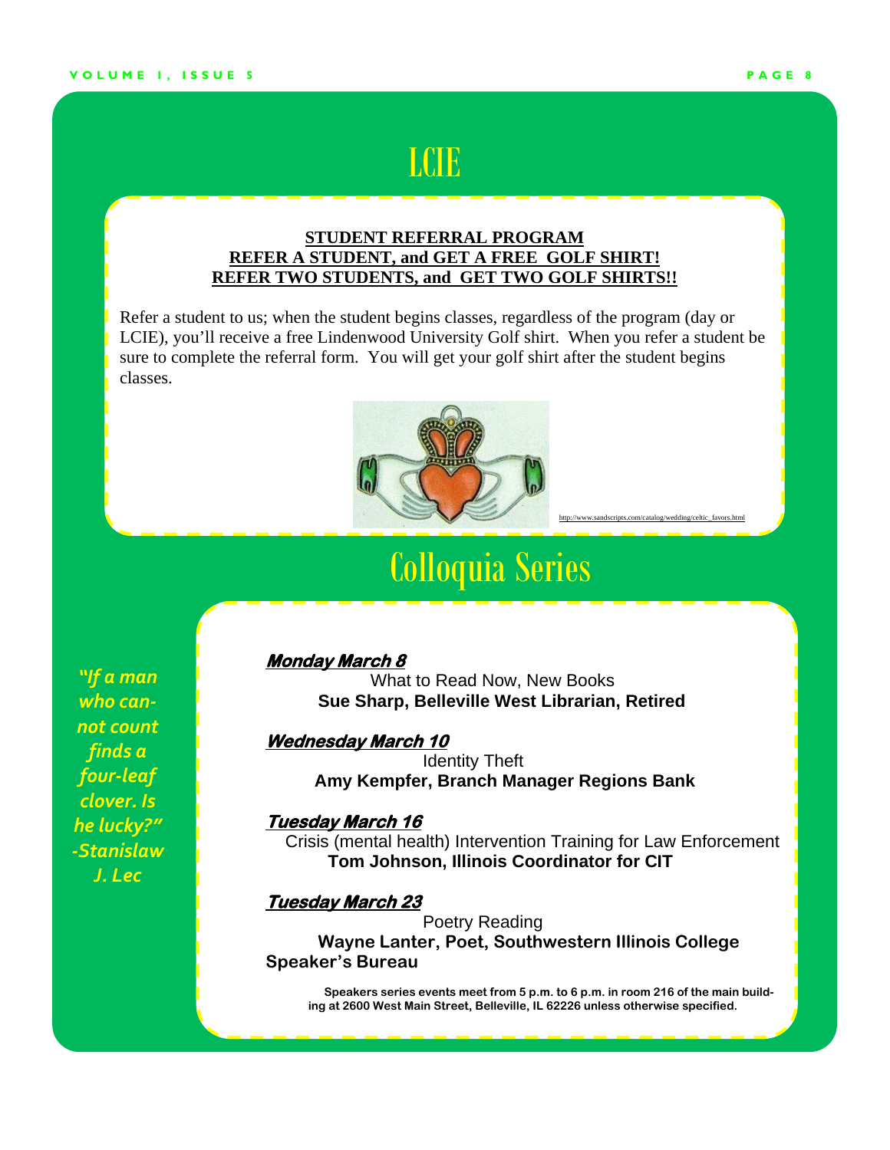### **LCIE**

### **STUDENT REFERRAL PROGRAM REFER A STUDENT, and GET A FREE GOLF SHIRT! REFER TWO STUDENTS, and GET TWO GOLF SHIRTS!!**

Refer a student to us; when the student begins classes, regardless of the program (day or LCIE), you'll receive a free Lindenwood University Golf shirt. When you refer a student be sure to complete the referral form. You will get your golf shirt after the student begins classes.



### Colloquia Series

 **Monday March 8**

What to Read Now, New Books **Sue Sharp, Belleville West Librarian, Retired**

#### **Wednesday March 10**

 Identity Theft  **Amy Kempfer, Branch Manager Regions Bank** 

#### **Tuesday March 16**

 Crisis (mental health) Intervention Training for Law Enforcement  **Tom Johnson, Illinois Coordinator for CIT** 

### **Tuesday March 23**

**Poetry Reading Wayne Lanter, Poet, Southwestern Illinois College Speaker's Bureau** 

**Speakers series events meet from 5 p.m. to 6 p.m. in room 216 of the main building at 2600 West Main Street, Belleville, IL 62226 unless otherwise specified.** 

*"If a man who can‐ not count finds a four‐leaf clover. Is he lucky?" ‐Stanislaw J. Lec*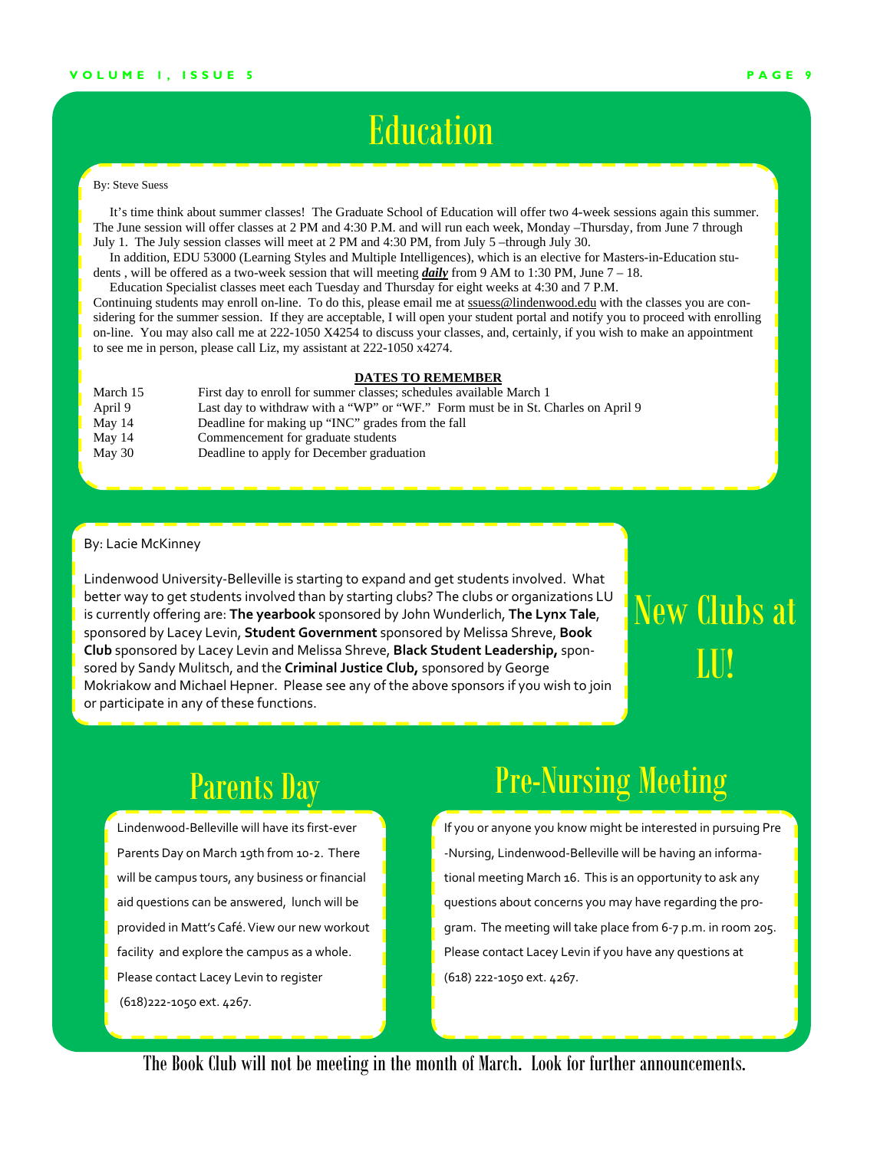### **Education**

#### By: Steve Suess

 It's time think about summer classes! The Graduate School of Education will offer two 4-week sessions again this summer. The June session will offer classes at 2 PM and 4:30 P.M. and will run each week, Monday –Thursday, from June 7 through July 1. The July session classes will meet at 2 PM and 4:30 PM, from July 5 –through July 30.

 In addition, EDU 53000 (Learning Styles and Multiple Intelligences), which is an elective for Masters-in-Education students , will be offered as a two-week session that will meeting *daily* from 9 AM to 1:30 PM, June 7 – 18.

 Education Specialist classes meet each Tuesday and Thursday for eight weeks at 4:30 and 7 P.M. Continuing students may enroll on-line. To do this, please email me at ssuess@lindenwood.edu with the classes you are considering for the summer session. If they are acceptable, I will open your student portal and notify you to proceed with enrolling on-line. You may also call me at 222-1050 X4254 to discuss your classes, and, certainly, if you wish to make an appointment to see me in person, please call Liz, my assistant at 222-1050 x4274.

#### **DATES TO REMEMBER**

| March 15 | First day to enroll for summer classes; schedules available March 1              |
|----------|----------------------------------------------------------------------------------|
| April 9  | Last day to withdraw with a "WP" or "WF." Form must be in St. Charles on April 9 |
| May $14$ | Deadline for making up "INC" grades from the fall                                |
| May $14$ | Commencement for graduate students                                               |
| May 30   | Deadline to apply for December graduation                                        |

#### By: Lacie McKinney

Lindenwood University‐Belleville is starting to expand and get students involved. What better way to get students involved than by starting clubs? The clubs or organizations LU is currently offering are: **The yearbook** sponsored by John Wunderlich, **The Lynx Tale**, sponsored by Lacey Levin, **Student Government** sponsored by Melissa Shreve, **Book Club** sponsored by Lacey Levin and Melissa Shreve, **Black Student Leadership,** spon‐ sored by Sandy Mulitsch, and the **Criminal Justice Club,** sponsored by George Mokriakow and Michael Hepner. Please see any of the above sponsors if you wish to join or participate in any of these functions.

# New Clubs at LU!

### Parents Day

Lindenwood‐Belleville will have its first‐ever Parents Day on March 19th from 10‐2. There will be campus tours, any business or financial aid questions can be answered, lunch will be provided in Matt's Café. View our new workout facility and explore the campus as a whole. Please contact Lacey Levin to register (618)222‐1050 ext. 4267.

### Pre-Nursing Meeting

If you or anyone you know might be interested in pursuing Pre ‐Nursing, Lindenwood‐Belleville will be having an informa‐ tional meeting March 16. This is an opportunity to ask any questions about concerns you may have regarding the pro‐ gram. The meeting will take place from 6‐7 p.m. in room 205. Please contact Lacey Levin if you have any questions at (618) 222‐1050 ext. 4267.

The Book Club will not be meeting in the month of March. Look for further announcements.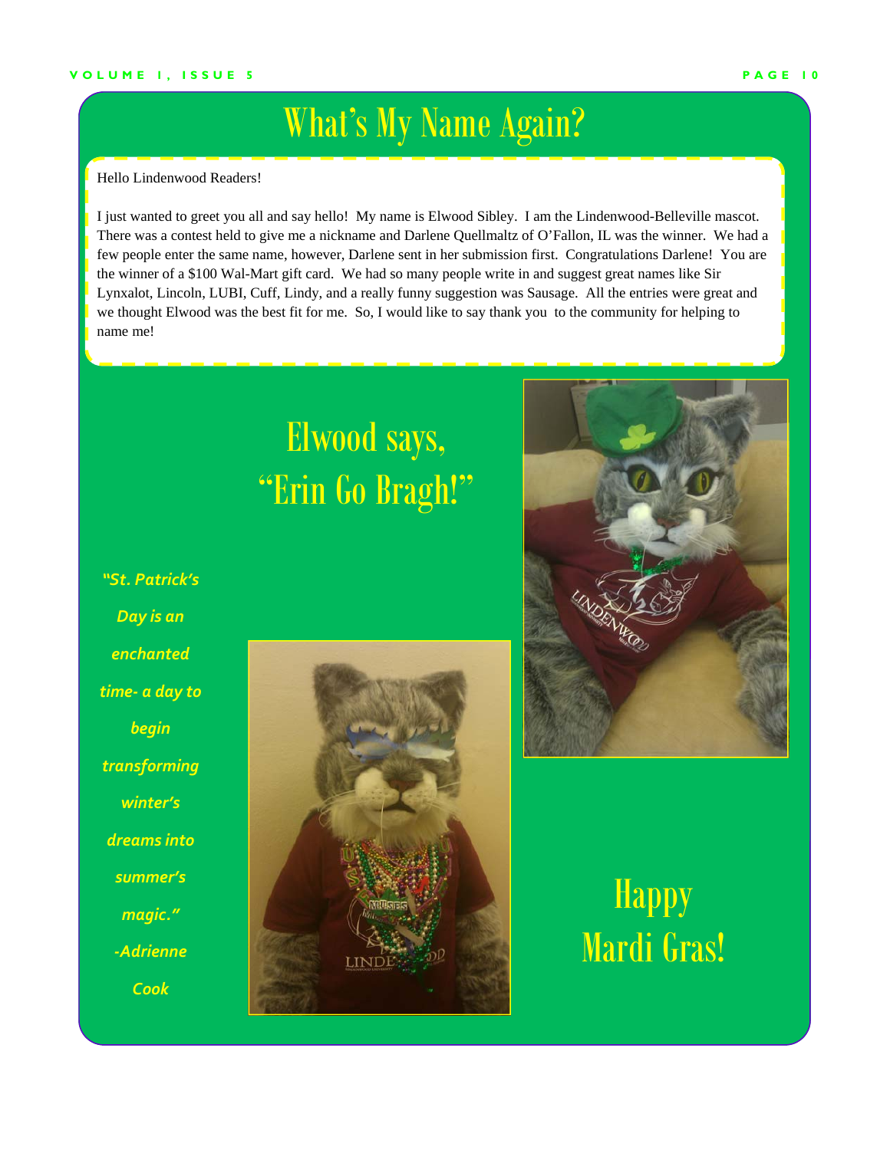### What's My Name Again?

Hello Lindenwood Readers!

I just wanted to greet you all and say hello! My name is Elwood Sibley. I am the Lindenwood-Belleville mascot. There was a contest held to give me a nickname and Darlene Quellmaltz of O'Fallon, IL was the winner. We had a few people enter the same name, however, Darlene sent in her submission first. Congratulations Darlene! You are the winner of a \$100 Wal-Mart gift card. We had so many people write in and suggest great names like Sir Lynxalot, Lincoln, LUBI, Cuff, Lindy, and a really funny suggestion was Sausage. All the entries were great and we thought Elwood was the best fit for me. So, I would like to say thank you to the community for helping to name me!

# Elwood says, "Erin Go Bragh!"

*"St. Patrick's Day is an enchanted time‐ a day to begin transforming winter's dreams into summer's magic." ‐Adrienne Cook*





**Happy** Mardi Gras!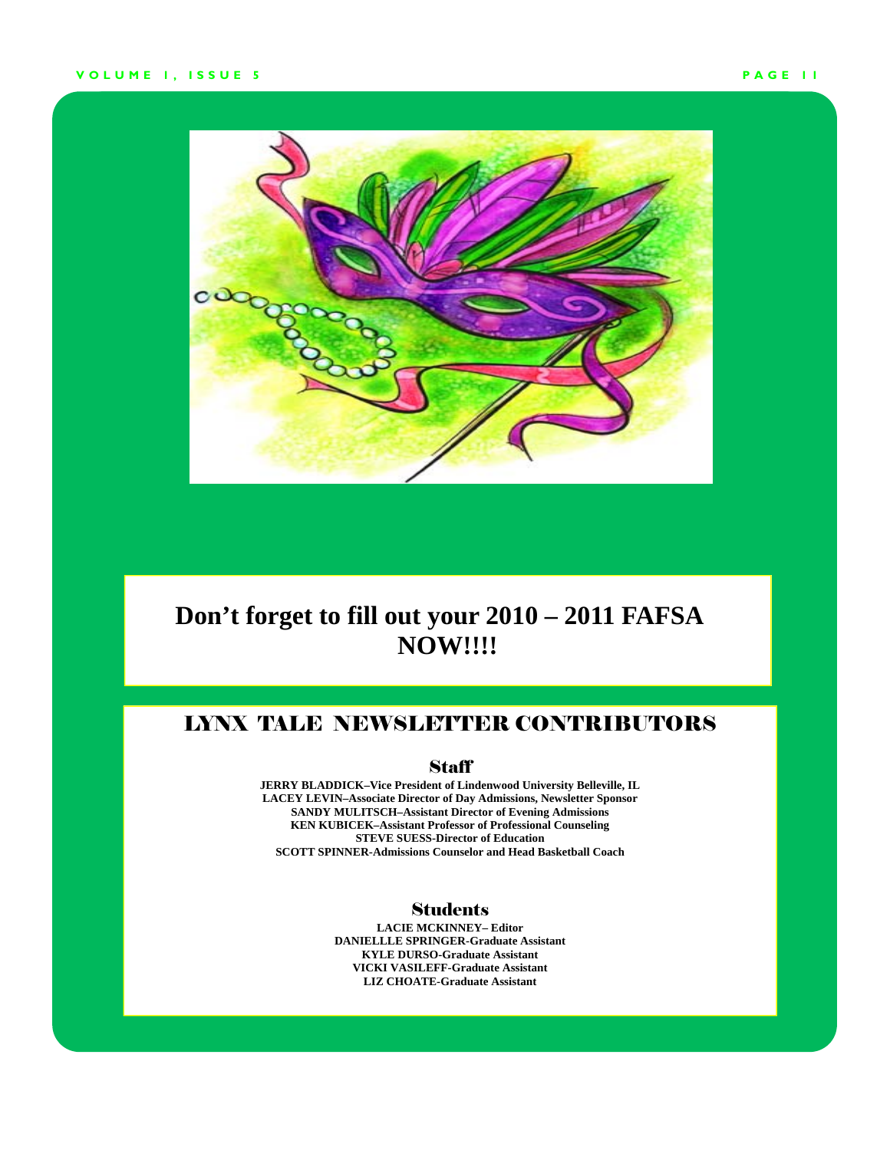#### **VOLUME 1, ISSUE 5 PAGE 11**



### **Don't forget to fill out your 2010 – 2011 FAFSA NOW!!!!**

### LYNX TALE NEWSLETTER CONTRIBUTORS

#### **Staff**

**JERRY BLADDICK–Vice President of Lindenwood University Belleville, IL LACEY LEVIN–Associate Director of Day Admissions, Newsletter Sponsor SANDY MULITSCH–Assistant Director of Evening Admissions KEN KUBICEK–Assistant Professor of Professional Counseling STEVE SUESS-Director of Education SCOTT SPINNER-Admissions Counselor and Head Basketball Coach** 

### **Students**

**LACIE MCKINNEY– Editor DANIELLLE SPRINGER-Graduate Assistant KYLE DURSO-Graduate Assistant VICKI VASILEFF-Graduate Assistant LIZ CHOATE-Graduate Assistant**